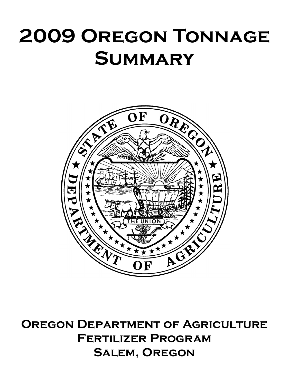## **2009 Oregon Tonnage Summary**



**Oregon Department of Agriculture Fertilizer Program Salem, Oregon**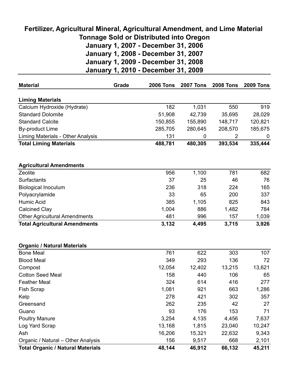## **Fertilizer, Agricultural Mineral, Agricultural Amendment, and Lime Material Tonnage Sold or Distributed into Oregon January 1, 2007 - December 31, 2006 January 1, 2008 - December 31, 2007 January 1, 2009 - December 31, 2008 January 1, 2010 - December 31, 2009**

| <b>Material</b>                          | Grade | <b>2006 Tons</b> | <b>2007 Tons</b> | <b>2008 Tons</b> | <b>2009 Tons</b> |
|------------------------------------------|-------|------------------|------------------|------------------|------------------|
| <b>Liming Materials</b>                  |       |                  |                  |                  |                  |
| Calcium Hydroxide (Hydrate)              |       | 182              | 1,031            | 550              | 919              |
| <b>Standard Dolomite</b>                 |       | 51,908           | 42,739           | 35,695           | 28,029           |
| <b>Standard Calcite</b>                  |       | 150,855          | 155,890          | 148,717          | 120,821          |
| <b>By-product Lime</b>                   |       | 285,705          | 280,645          | 208,570          | 185,675          |
| Liming Materials - Other Analysis        |       | 131              | 0                | 2                | 0                |
| <b>Total Liming Materials</b>            |       | 488,781          | 480,305          | 393,534          | 335,444          |
| <b>Agricultural Amendments</b>           |       |                  |                  |                  |                  |
| Zeolite                                  |       | 956              | 1,100            | 781              | 682              |
| Surfactants                              |       | 37               | 25               | 46               | 76               |
| <b>Biological Inoculum</b>               |       | 236              | 318              | 224              | 165              |
| Polyacrylamide                           |       | 33               | 65               | 200              | 337              |
| <b>Humic Acid</b>                        |       | 385              | 1,105            | 825              | 843              |
| <b>Calcined Clay</b>                     |       | 1,004            | 886              | 1,482            | 784              |
| <b>Other Agricultural Amendments</b>     |       | 481              | 996              | 157              | 1,039            |
| <b>Total Agricultural Amendments</b>     |       | 3,132            | 4,495            | 3,715            | 3,926            |
|                                          |       |                  |                  |                  |                  |
| <b>Organic / Natural Materials</b>       |       |                  |                  |                  |                  |
| <b>Bone Meal</b>                         |       | 761              | 622              | 303              | 107              |
| <b>Blood Meal</b>                        |       | 349              | 293              | 136              | 72               |
| Compost                                  |       | 12,054           | 12,402           | 13,215           | 13,621           |
| <b>Cotton Seed Meal</b>                  |       | 158              | 440              | 106              | 65               |
| <b>Feather Meal</b>                      |       | 324              | 614              | 416              | 277              |
| Fish Scrap                               |       | 1,081            | 921              | 663              | 1,286            |
| Kelp                                     |       | 278              | 421              | 302              | 357              |
| Greensand                                |       | 262              | 235              | 42               | 27               |
| Guano                                    |       | 93               | 176              | 153              | 71               |
| <b>Poultry Manure</b>                    |       | 3,254            | 4,135            | 4,456            | 7,637            |
| Log Yard Scrap                           |       | 13,168           | 1,815            | 23,040           | 10,247           |
| Ash                                      |       | 16,206           | 15,321           | 22,632           | 9,343            |
| Organic / Natural - Other Analysis       |       | 156              | 9,517            | 668              | 2,101            |
| <b>Total Organic / Natural Materials</b> |       | 48,144           | 46,912           | 66,132           | 45,211           |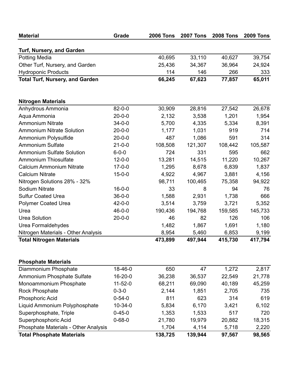| <b>Material</b>                        | Grade         | <b>2006 Tons</b> | <b>2007 Tons</b> | <b>2008 Tons</b> | <b>2009 Tons</b> |
|----------------------------------------|---------------|------------------|------------------|------------------|------------------|
| Turf, Nursery, and Garden              |               |                  |                  |                  |                  |
| <b>Potting Media</b>                   |               | 40,695           | 33,110           | 40,627           | 39,754           |
| Other Turf, Nursery, and Garden        |               | 25,436           | 34,367           | 36,964           | 24,924           |
| <b>Hydroponic Products</b>             |               | 114              | 146              | 266              | 333              |
| <b>Total Turf, Nursery, and Garden</b> |               | 66,245           | 67,623           | 77,857           | 65,011           |
| <b>Nitrogen Materials</b>              |               |                  |                  |                  |                  |
| Anhydrous Ammonia                      | $82 - 0 - 0$  | 30,909           | 28,816           | 27,542           | 26,678           |
| Aqua Ammonia                           | $20 - 0 - 0$  | 2,132            | 3,538            | 1,201            | 1,954            |
| Ammonium Nitrate                       | $34 - 0 - 0$  | 5,700            | 4,335            | 5,334            | 8,391            |
| <b>Ammonium Nitrate Solution</b>       | $20 - 0 - 0$  | 1,177            | 1,031            | 919              | 714              |
| Ammonium Polysulfide                   | $20 - 0 - 0$  | 487              | 1,086            | 591              | 314              |
| <b>Ammonium Sulfate</b>                | $21 - 0 - 0$  | 108,508          | 121,307          | 108,442          | 105,587          |
| <b>Ammonium Sulfate Solution</b>       | $6 - 0 - 0$   | 724              | 331              | 595              | 662              |
| <b>Ammonium Thiosulfate</b>            | $12 - 0 - 0$  | 13,281           | 14,515           | 11,220           | 10,267           |
| Calcium Ammonium Nitrate               | $17 - 0 - 0$  | 1,295            | 8,678            | 6,839            | 1,837            |
| <b>Calcium Nitrate</b>                 | $15 - 0 - 0$  | 4,922            | 4,967            | 3,881            | 4,156            |
| Nitrogen Solutions 28% - 32%           |               | 98,711           | 100,465          | 75,358           | 94,922           |
| Sodium Nitrate                         | $16 - 0 - 0$  | 33               | 8                | 94               | 76               |
| <b>Sulfur Coated Urea</b>              | $36 - 0 - 0$  | 1,588            | 2,931            | 1,738            | 666              |
| <b>Polymer Coated Urea</b>             | $42 - 0 - 0$  | 3,514            | 3,759            | 3,721            | 5,352            |
| Urea                                   | $46 - 0 - 0$  | 190,436          | 194,768          | 159,585          | 145,733          |
| <b>Urea Solution</b>                   | $20 - 0 - 0$  | 46               | 82               | 126              | 106              |
| Urea Formaldehydes                     |               | 1,482            | 1,867            | 1,691            | 1,180            |
| Nitrogen Materials - Other Analysis    |               | 8,954            | 5,460            | 6,853            | 9,199            |
| <b>Total Nitrogen Materials</b>        |               | 473,899          | 497,944          | 415,730          | 417,794          |
| <b>Phosphate Materials</b>             |               |                  |                  |                  |                  |
| Diammonium Phosphate                   | 18-46-0       | 650              | 47               | 1,272            | 2,817            |
| Ammonium Phosphate Sulfate             | $16 - 20 - 0$ | 36,238           | 36,537           | 22,549           | 21,778           |
| Monoammonium Phosphate                 | $11 - 52 - 0$ | 68,211           | 69,090           | 40,189           | 45,259           |
| <b>Rock Phosphate</b>                  | $0 - 3 - 0$   | 2,144            | 1,851            | 2,705            | 735              |
| Phosphoric Acid                        | $0 - 54 - 0$  | 811              | 623              | 314              | 619              |
| Liquid Ammonium Polyphosphate          | $10 - 34 - 0$ | 5,834            | 6,170            | 3,421            | 6,102            |
| Superphosphate, Triple                 | $0 - 45 - 0$  | 1,353            | 1,533            | 517              | 720              |
| Superphosphoric Acid                   | $0 - 68 - 0$  | 21,780           | 19,979           | 20,882           | 18,315           |
| Phosphate Materials - Other Analysis   |               | 1,704            | 4,114            | 5,718            | 2,220            |
| <b>Total Phosphate Materials</b>       |               | 138,725          | 139,944          | 97,567           | 98,565           |